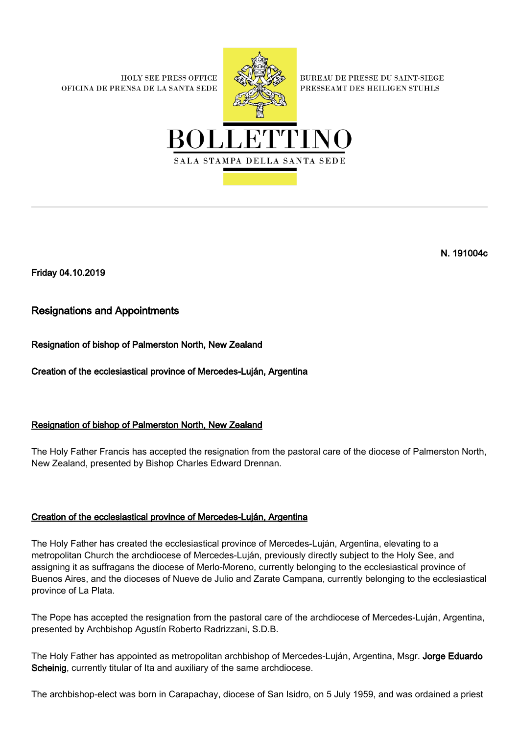**HOLY SEE PRESS OFFICE** OFICINA DE PRENSA DE LA SANTA SEDE



**BUREAU DE PRESSE DU SAINT-SIEGE** PRESSEAMT DES HEILIGEN STUHLS



N. 191004c

Friday 04.10.2019

## Resignations and Appointments

Resignation of bishop of Palmerston North, New Zealand

Creation of the ecclesiastical province of Mercedes-Luján, Argentina

## Resignation of bishop of Palmerston North, New Zealand

The Holy Father Francis has accepted the resignation from the pastoral care of the diocese of Palmerston North, New Zealand, presented by Bishop Charles Edward Drennan.

## Creation of the ecclesiastical province of Mercedes-Luján, Argentina

The Holy Father has created the ecclesiastical province of Mercedes-Luján, Argentina, elevating to a metropolitan Church the archdiocese of Mercedes-Luján, previously directly subject to the Holy See, and assigning it as suffragans the diocese of Merlo-Moreno, currently belonging to the ecclesiastical province of Buenos Aires, and the dioceses of Nueve de Julio and Zarate Campana, currently belonging to the ecclesiastical province of La Plata.

The Pope has accepted the resignation from the pastoral care of the archdiocese of Mercedes-Luján, Argentina, presented by Archbishop Agustín Roberto Radrizzani, S.D.B.

The Holy Father has appointed as metropolitan archbishop of Mercedes-Luján, Argentina, Msgr. Jorge Eduardo Scheinig, currently titular of Ita and auxiliary of the same archdiocese.

The archbishop-elect was born in Carapachay, diocese of San Isidro, on 5 July 1959, and was ordained a priest